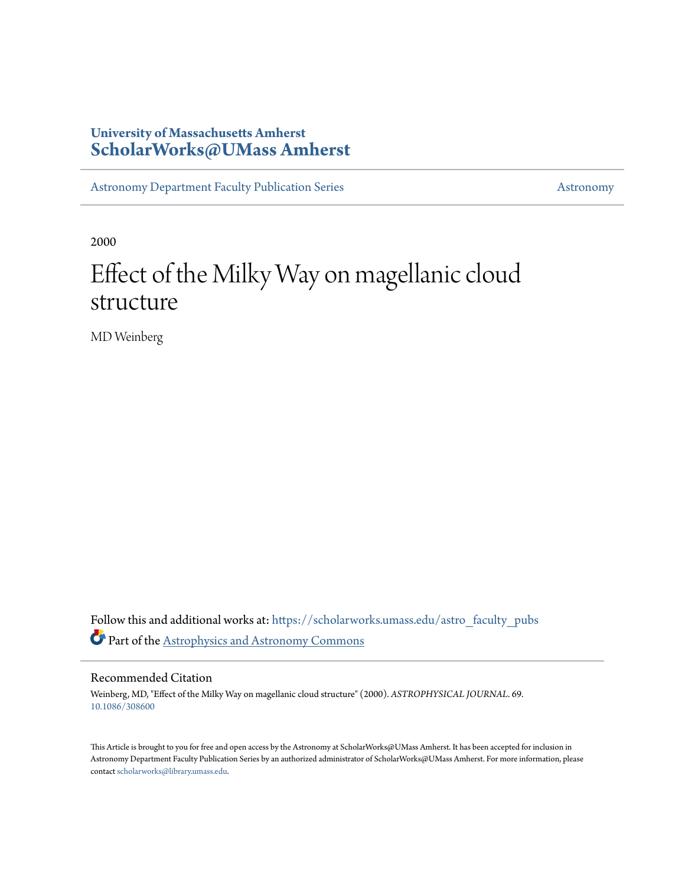# **University of Massachusetts Amherst [ScholarWorks@UMass Amherst](https://scholarworks.umass.edu?utm_source=scholarworks.umass.edu%2Fastro_faculty_pubs%2F69&utm_medium=PDF&utm_campaign=PDFCoverPages)**

[Astronomy Department Faculty Publication Series](https://scholarworks.umass.edu/astro_faculty_pubs?utm_source=scholarworks.umass.edu%2Fastro_faculty_pubs%2F69&utm_medium=PDF&utm_campaign=PDFCoverPages) [Astronomy](https://scholarworks.umass.edu/astro?utm_source=scholarworks.umass.edu%2Fastro_faculty_pubs%2F69&utm_medium=PDF&utm_campaign=PDFCoverPages)

2000

# Effect of the Milky Way on magellanic cloud structure

MD Weinberg

Follow this and additional works at: [https://scholarworks.umass.edu/astro\\_faculty\\_pubs](https://scholarworks.umass.edu/astro_faculty_pubs?utm_source=scholarworks.umass.edu%2Fastro_faculty_pubs%2F69&utm_medium=PDF&utm_campaign=PDFCoverPages) Part of the [Astrophysics and Astronomy Commons](http://network.bepress.com/hgg/discipline/123?utm_source=scholarworks.umass.edu%2Fastro_faculty_pubs%2F69&utm_medium=PDF&utm_campaign=PDFCoverPages)

Recommended Citation

Weinberg, MD, "Effect of the Milky Way on magellanic cloud structure" (2000). *ASTROPHYSICAL JOURNAL*. 69. <10.1086/308600>

This Article is brought to you for free and open access by the Astronomy at ScholarWorks@UMass Amherst. It has been accepted for inclusion in Astronomy Department Faculty Publication Series by an authorized administrator of ScholarWorks@UMass Amherst. For more information, please contact [scholarworks@library.umass.edu](mailto:scholarworks@library.umass.edu).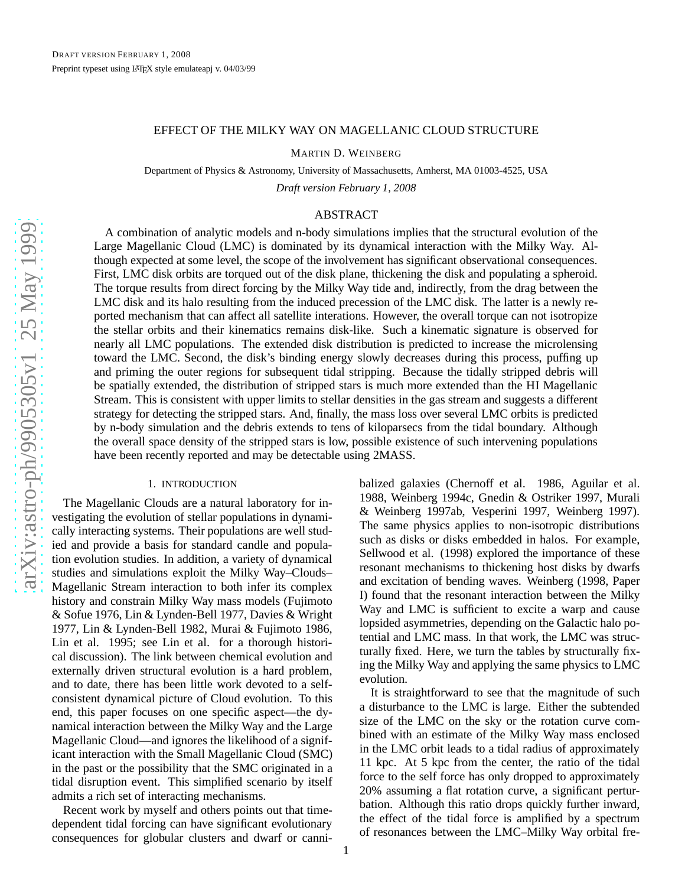#### EFFECT OF THE MILKY WAY ON MAGELLANIC CLOUD STRUCTURE

MARTIN D. WEINBERG

Department of Physics & Astronomy, University of Massachusetts, Amherst, MA 01003-4525, USA

*Draft version February 1, 2008*

# ABSTRACT

A combination of analytic models and n-body simulations implies that the structural evolution of the Large Magellanic Cloud (LMC) is dominated by its dynamical interaction with the Milky Way. Although expected at some level, the scope of the involvement has significant observational consequences. First, LMC disk orbits are torqued out of the disk plane, thickening the disk and populating a spheroid. The torque results from direct forcing by the Milky Way tide and, indirectly, from the drag between the LMC disk and its halo resulting from the induced precession of the LMC disk. The latter is a newly reported mechanism that can affect all satellite interations. However, the overall torque can not isotropize the stellar orbits and their kinematics remains disk-like. Such a kinematic signature is observed for nearly all LMC populations. The extended disk distribution is predicted to increase the microlensing toward the LMC. Second, the disk's binding energy slowly decreases during this process, puffing up and priming the outer regions for subsequent tidal stripping. Because the tidally stripped debris will be spatially extended, the distribution of stripped stars is much more extended than the HI Magellanic Stream. This is consistent with upper limits to stellar densities in the gas stream and suggests a different strategy for detecting the stripped stars. And, finally, the mass loss over several LMC orbits is predicted by n-body simulation and the debris extends to tens of kiloparsecs from the tidal boundary. Although the overall space density of the stripped stars is low, possible existence of such intervening populations have been recently reported and may be detectable using 2MASS.

#### 1. INTRODUCTION

The Magellanic Clouds are a natural laboratory for investigating the evolution of stellar populations in dynamically interacting systems. Their populations are well studied and provide a basis for standard candle and population evolution studies. In addition, a variety of dynamical studies and simulations exploit the Milky Way–Clouds– Magellanic Stream interaction to both infer its complex history and constrain Milky Way mass models (Fujimoto & Sofue 1976, Lin & Lynden-Bell 1977, Davies & Wright 1977, Lin & Lynden-Bell 1982, Murai & Fujimoto 1986, Lin et al. 1995; see Lin et al. for a thorough historical discussion). The link between chemical evolution and externally driven structural evolution is a hard problem, and to date, there has been little work devoted to a selfconsistent dynamical picture of Cloud evolution. To this end, this paper focuses on one specific aspect—the dynamical interaction between the Milky Way and the Large Magellanic Cloud—and ignores the likelihood of a significant interaction with the Small Magellanic Cloud (SMC) in the past or the possibility that the SMC originated in a tidal disruption event. This simplified scenario by itself admits a rich set of interacting mechanisms.

Recent work by myself and others points out that timedependent tidal forcing can have significant evolutionary consequences for globular clusters and dwarf or canni-

balized galaxies (Chernoff et al. 1986, Aguilar et al. 1988, Weinberg 1994c, Gnedin & Ostriker 1997, Murali & Weinberg 1997ab, Vesperini 1997, Weinberg 1997). The same physics applies to non-isotropic distributions such as disks or disks embedded in halos. For example, Sellwood et al. (1998) explored the importance of these resonant mechanisms to thickening host disks by dwarfs and excitation of bending waves. Weinberg (1998, Paper I) found that the resonant interaction between the Milky Way and LMC is sufficient to excite a warp and cause lopsided asymmetries, depending on the Galactic halo potential and LMC mass. In that work, the LMC was structurally fixed. Here, we turn the tables by structurally fixing the Milky Way and applying the same physics to LMC evolution.

It is straightforward to see that the magnitude of such a disturbance to the LMC is large. Either the subtended size of the LMC on the sky or the rotation curve combined with an estimate of the Milky Way mass enclosed in the LMC orbit leads to a tidal radius of approximately 11 kpc. At 5 kpc from the center, the ratio of the tidal force to the self force has only dropped to approximately 20% assuming a flat rotation curve, a significant perturbation. Although this ratio drops quickly further inward, the effect of the tidal force is amplified by a spectrum of resonances between the LMC–Milky Way orbital fre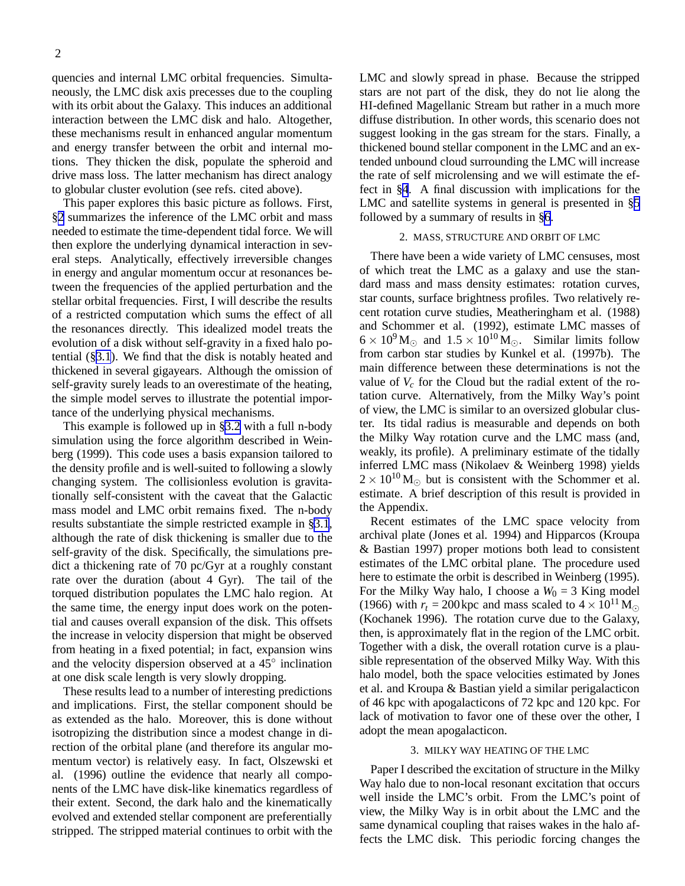quencies and internal LMC orbital frequencies. Simultaneously, the LMC disk axis precesses due to the coupling with its orbit about the Galaxy. This induces an additional interaction between the LMC disk and halo. Altogether, these mechanisms result in enhanced angular momentum and energy transfer between the orbit and internal motions. They thicken the disk, populate the spheroid and drive mass loss. The latter mechanism has direct analogy to globular cluster evolution (see refs. cited above).

This paper explores this basic picture as follows. First, §2 summarizes the inference of the LMC orbit and mass needed to estimate the time-dependent tidal force. We will then explore the underlying dynamical interaction in several steps. Analytically, effectively irreversible changes in energy and angular momentum occur at resonances between the frequencies of the applied perturbation and the stellar orbital frequencies. First, I will describe the results of a restricted computation which sums the effect of all the resonances directly. This idealized model treats the evolution of a disk without self-gravity in a fixed halo potential (§[3.1](#page-3-0)). We find that the disk is notably heated and thickened in several gigayears. Although the omission of self-gravity surely leads to an overestimate of the heating, the simple model serves to illustrate the potential importance of the underlying physical mechanisms.

This example is followed up in [§3.2](#page-3-0) with a full n-body simulation using the force algorithm described in Weinberg (1999). This code uses a basis expansion tailored to the density profile and is well-suited to following a slowly changing system. The collisionless evolution is gravitationally self-consistent with the caveat that the Galactic mass model and LMC orbit remains fixed. The n-body results substantiate the simple restricted example in §[3.1](#page-3-0), although the rate of disk thickening is smaller due to the self-gravity of the disk. Specifically, the simulations predict a thickening rate of 70 pc/Gyr at a roughly constant rate over the duration (about 4 Gyr). The tail of the torqued distribution populates the LMC halo region. At the same time, the energy input does work on the potential and causes overall expansion of the disk. This offsets the increase in velocity dispersion that might be observed from heating in a fixed potential; in fact, expansion wins and the velocity dispersion observed at a  $45^{\circ}$  inclination at one disk scale length is very slowly dropping.

These results lead to a number of interesting predictions and implications. First, the stellar component should be as extended as the halo. Moreover, this is done without isotropizing the distribution since a modest change in direction of the orbital plane (and therefore its angular momentum vector) is relatively easy. In fact, Olszewski et al. (1996) outline the evidence that nearly all components of the LMC have disk-like kinematics regardless of their extent. Second, the dark halo and the kinematically evolved and extended stellar component are preferentially stripped. The stripped material continues to orbit with the

LMC and slowly spread in phase. Because the stripped stars are not part of the disk, they do not lie along the HI-defined Magellanic Stream but rather in a much more diffuse distribution. In other words, this scenario does not suggest looking in the gas stream for the stars. Finally, a thickened bound stellar component in the LMC and an extended unbound cloud surrounding the LMC will increase the rate of self microlensing and we will estimate the effect in §[4](#page-10-0). A final discussion with implications for the LMC and satellite systems in general is presented in §[5](#page-11-0) followed by a summary of results in §[6](#page-12-0).

#### 2. MASS, STRUCTURE AND ORBIT OF LMC

There have been a wide variety of LMC censuses, most of which treat the LMC as a galaxy and use the standard mass and mass density estimates: rotation curves, star counts, surface brightness profiles. Two relatively recent rotation curve studies, Meatheringham et al. (1988) and Schommer et al. (1992), estimate LMC masses of  $6 \times 10^9$  M<sub> $\odot$ </sub> and  $1.5 \times 10^{10}$  M<sub> $\odot$ </sub>. Similar limits follow from carbon star studies by Kunkel et al. (1997b). The main difference between these determinations is not the value of  $V_c$  for the Cloud but the radial extent of the rotation curve. Alternatively, from the Milky Way's point of view, the LMC is similar to an oversized globular cluster. Its tidal radius is measurable and depends on both the Milky Way rotation curve and the LMC mass (and, weakly, its profile). A preliminary estimate of the tidally inferred LMC mass (Nikolaev & Weinberg 1998) yields  $2 \times 10^{10}$  M<sub>o</sub> but is consistent with the Schommer et al. estimate. A brief description of this result is provided in the Appendix.

Recent estimates of the LMC space velocity from archival plate (Jones et al. 1994) and Hipparcos (Kroupa & Bastian 1997) proper motions both lead to consistent estimates of the LMC orbital plane. The procedure used here to estimate the orbit is described in Weinberg (1995). For the Milky Way halo, I choose a  $W_0 = 3$  King model (1966) with  $r_t = 200$  kpc and mass scaled to  $4 \times 10^{11}$  M<sub>o</sub> (Kochanek 1996). The rotation curve due to the Galaxy, then, is approximately flat in the region of the LMC orbit. Together with a disk, the overall rotation curve is a plausible representation of the observed Milky Way. With this halo model, both the space velocities estimated by Jones et al. and Kroupa & Bastian yield a similar perigalacticon of 46 kpc with apogalacticons of 72 kpc and 120 kpc. For lack of motivation to favor one of these over the other, I adopt the mean apogalacticon.

#### 3. MILKY WAY HEATING OF THE LMC

Paper I described the excitation of structure in the Milky Way halo due to non-local resonant excitation that occurs well inside the LMC's orbit. From the LMC's point of view, the Milky Way is in orbit about the LMC and the same dynamical coupling that raises wakes in the halo affects the LMC disk. This periodic forcing changes the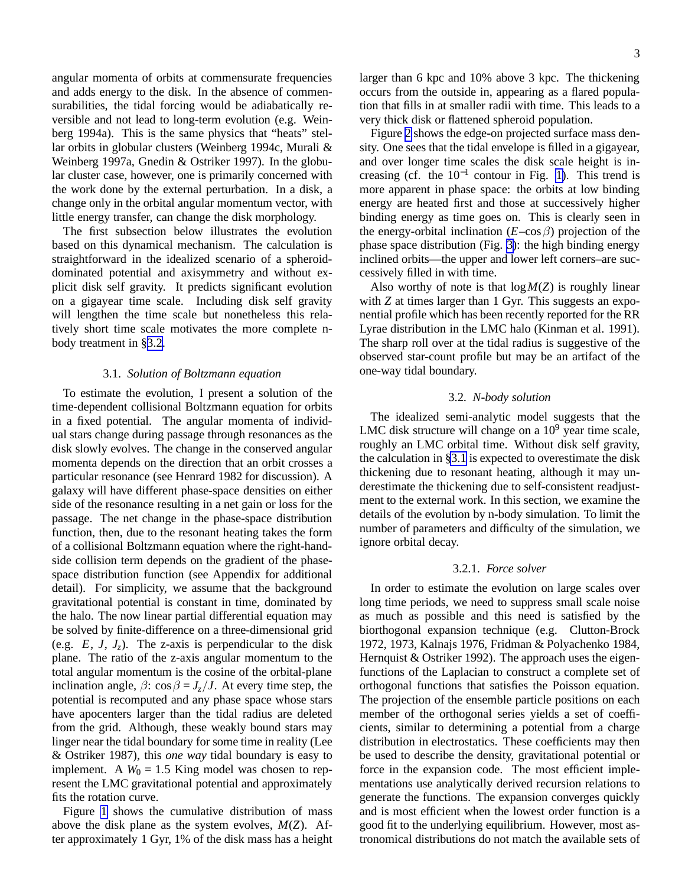<span id="page-3-0"></span>angular momenta of orbits at commensurate frequencies and adds energy to the disk. In the absence of commensurabilities, the tidal forcing would be adiabatically reversible and not lead to long-term evolution (e.g. Weinberg 1994a). This is the same physics that "heats" stellar orbits in globular clusters (Weinberg 1994c, Murali & Weinberg 1997a, Gnedin & Ostriker 1997). In the globular cluster case, however, one is primarily concerned with the work done by the external perturbation. In a disk, a change only in the orbital angular momentum vector, with little energy transfer, can change the disk morphology.

The first subsection below illustrates the evolution based on this dynamical mechanism. The calculation is straightforward in the idealized scenario of a spheroiddominated potential and axisymmetry and without explicit disk self gravity. It predicts significant evolution on a gigayear time scale. Including disk self gravity will lengthen the time scale but nonetheless this relatively short time scale motivates the more complete nbody treatment in §3.2.

#### 3.1. *Solution of Boltzmann equation*

To estimate the evolution, I present a solution of the time-dependent collisional Boltzmann equation for orbits in a fixed potential. The angular momenta of individual stars change during passage through resonances as the disk slowly evolves. The change in the conserved angular momenta depends on the direction that an orbit crosses a particular resonance (see Henrard 1982 for discussion). A galaxy will have different phase-space densities on either side of the resonance resulting in a net gain or loss for the passage. The net change in the phase-space distribution function, then, due to the resonant heating takes the form of a collisional Boltzmann equation where the right-handside collision term depends on the gradient of the phasespace distribution function (see Appendix for additional detail). For simplicity, we assume that the background gravitational potential is constant in time, dominated by the halo. The now linear partial differential equation may be solved by finite-difference on a three-dimensional grid (e.g.  $E$ ,  $J$ ,  $J_z$ ). The z-axis is perpendicular to the disk plane. The ratio of the z-axis angular momentum to the total angular momentum is the cosine of the orbital-plane inclination angle,  $\beta$ : cos  $\beta = J_z/J$ . At every time step, the potential is recomputed and any phase space whose stars have apocenters larger than the tidal radius are deleted from the grid. Although, these weakly bound stars may linger near the tidal boundary for some time in reality (Lee & Ostriker 1987), this *one way* tidal boundary is easy to implement. A  $W_0 = 1.5$  King model was chosen to represent the LMC gravitational potential and approximately fits the rotation curve.

Figure [1](#page-4-0) shows the cumulative distribution of mass above the disk plane as the system evolves, *M*(*Z*). After approximately 1 Gyr, 1% of the disk mass has a height 3

larger than 6 kpc and 10% above 3 kpc. The thickening occurs from the outside in, appearing as a flared population that fills in at smaller radii with time. This leads to a very thick disk or flattened spheroid population.

Figure [2](#page-4-0) shows the edge-on projected surface mass density. One sees that the tidal envelope is filled in a gigayear, and over longer time scales the disk scale height is increasing (cf. the  $10^{-1}$  contour in Fig. [1\)](#page-4-0). This trend is more apparent in phase space: the orbits at low binding energy are heated first and those at successively higher binding energy as time goes on. This is clearly seen in the energy-orbital inclination  $(E-\cos\beta)$  projection of the phase space distribution (Fig. [3\)](#page-5-0): the high binding energy inclined orbits—the upper and lower left corners–are successively filled in with time.

Also worthy of note is that  $log M(Z)$  is roughly linear with *Z* at times larger than 1 Gyr. This suggests an exponential profile which has been recently reported for the RR Lyrae distribution in the LMC halo (Kinman et al. 1991). The sharp roll over at the tidal radius is suggestive of the observed star-count profile but may be an artifact of the one-way tidal boundary.

#### 3.2. *N-body solution*

The idealized semi-analytic model suggests that the LMC disk structure will change on a  $10<sup>9</sup>$  year time scale, roughly an LMC orbital time. Without disk self gravity, the calculation in §3.1 is expected to overestimate the disk thickening due to resonant heating, although it may underestimate the thickening due to self-consistent readjustment to the external work. In this section, we examine the details of the evolution by n-body simulation. To limit the number of parameters and difficulty of the simulation, we ignore orbital decay.

# 3.2.1. *Force solver*

In order to estimate the evolution on large scales over long time periods, we need to suppress small scale noise as much as possible and this need is satisfied by the biorthogonal expansion technique (e.g. Clutton-Brock 1972, 1973, Kalnajs 1976, Fridman & Polyachenko 1984, Hernquist & Ostriker 1992). The approach uses the eigenfunctions of the Laplacian to construct a complete set of orthogonal functions that satisfies the Poisson equation. The projection of the ensemble particle positions on each member of the orthogonal series yields a set of coefficients, similar to determining a potential from a charge distribution in electrostatics. These coefficients may then be used to describe the density, gravitational potential or force in the expansion code. The most efficient implementations use analytically derived recursion relations to generate the functions. The expansion converges quickly and is most efficient when the lowest order function is a good fit to the underlying equilibrium. However, most astronomical distributions do not match the available sets of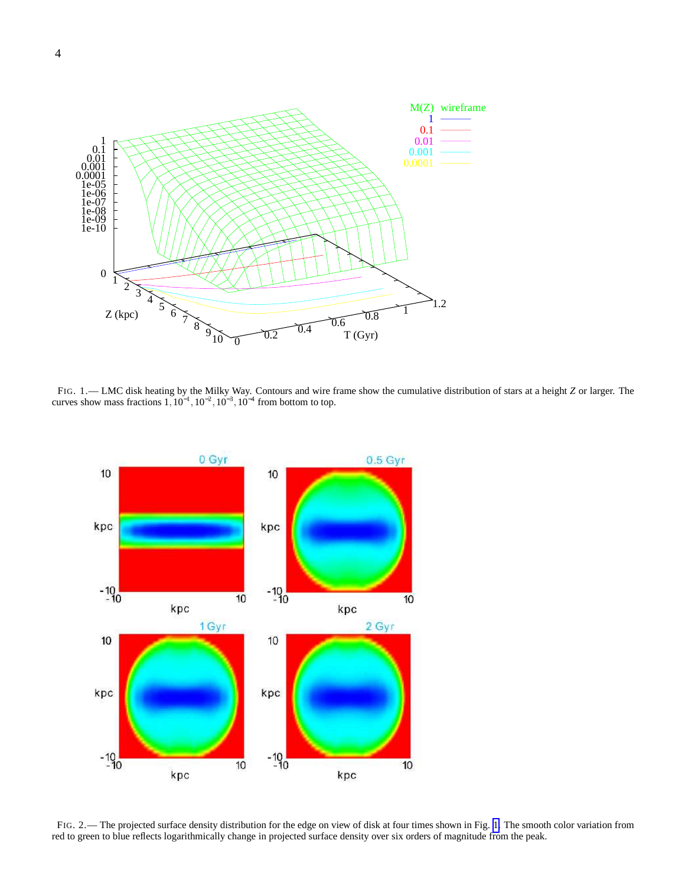<span id="page-4-0"></span>

FIG. 1.— LMC disk heating by the Milky Way. Contours and wire frame show the cumulative distribution of stars at a height *Z* or larger. The curves show mass fractions  $1, 10^{-1}, 10^{-2}, 10^{-3}, 10^{-4}$  from bottom to top.



FIG. 2.— The projected surface density distribution for the edge on view of disk at four times shown in Fig. 1. The smooth color variation from red to green to blue reflects logarithmically change in projected surface density over six orders of magnitude from the peak.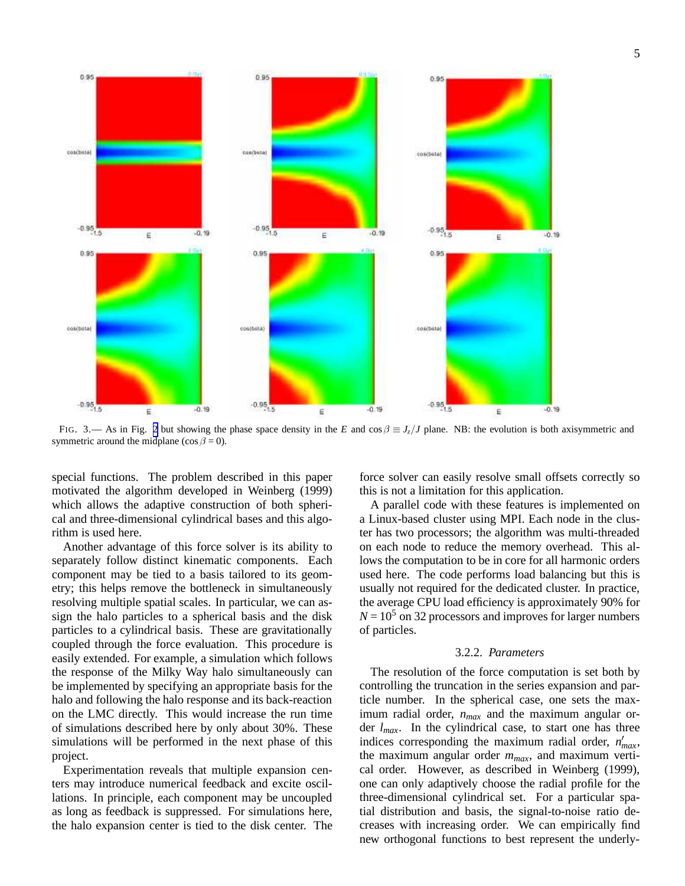5

<span id="page-5-0"></span>

FIG. 3.— As in Fig. [2](#page-4-0) but showing the phase space density in the *E* and cos  $\beta \equiv J_z/J$  plane. NB: the evolution is both axisymmetric and symmetric around the midplane (cos  $\beta = 0$ ).

special functions. The problem described in this paper motivated the algorithm developed in Weinberg (1999) which allows the adaptive construction of both spherical and three-dimensional cylindrical bases and this algorithm is used here.

Another advantage of this force solver is its ability to separately follow distinct kinematic components. Each component may be tied to a basis tailored to its geometry; this helps remove the bottleneck in simultaneously resolving multiple spatial scales. In particular, we can assign the halo particles to a spherical basis and the disk particles to a cylindrical basis. These are gravitationally coupled through the force evaluation. This procedure is easily extended. For example, a simulation which follows the response of the Milky Way halo simultaneously can be implemented by specifying an appropriate basis for the halo and following the halo response and its back-reaction on the LMC directly. This would increase the run time of simulations described here by only about 30%. These simulations will be performed in the next phase of this project.

Experimentation reveals that multiple expansion centers may introduce numerical feedback and excite oscillations. In principle, each component may be uncoupled as long as feedback is suppressed. For simulations here, the halo expansion center is tied to the disk center. The force solver can easily resolve small offsets correctly so this is not a limitation for this application.

A parallel code with these features is implemented on a Linux-based cluster using MPI. Each node in the cluster has two processors; the algorithm was multi-threaded on each node to reduce the memory overhead. This allows the computation to be in core for all harmonic orders used here. The code performs load balancing but this is usually not required for the dedicated cluster. In practice, the average CPU load efficiency is approximately 90% for  $N = 10<sup>5</sup>$  on 32 processors and improves for larger numbers of particles.

#### 3.2.2. *Parameters*

The resolution of the force computation is set both by controlling the truncation in the series expansion and particle number. In the spherical case, one sets the maximum radial order, *nmax* and the maximum angular order *lmax*. In the cylindrical case, to start one has three indices corresponding the maximum radial order,  $n'_{max}$ , the maximum angular order *mmax*, and maximum vertical order. However, as described in Weinberg (1999), one can only adaptively choose the radial profile for the three-dimensional cylindrical set. For a particular spatial distribution and basis, the signal-to-noise ratio decreases with increasing order. We can empirically find new orthogonal functions to best represent the underly-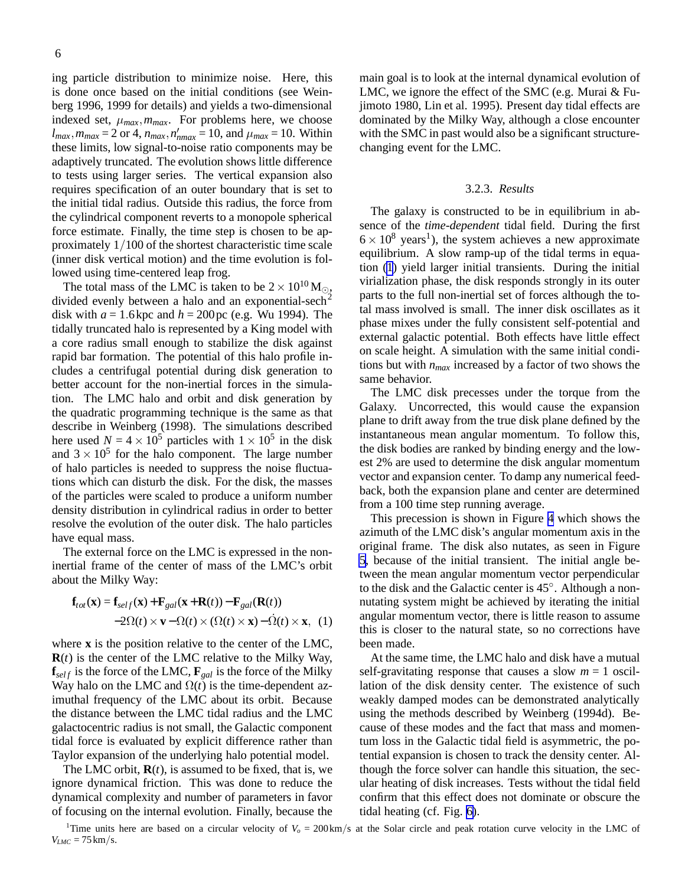<span id="page-6-0"></span>ing particle distribution to minimize noise. Here, this is done once based on the initial conditions (see Weinberg 1996, 1999 for details) and yields a two-dimensional indexed set,  $\mu_{max}$ ,  $m_{max}$ . For problems here, we choose  $l_{max}$ ,  $m_{max} = 2$  or 4,  $n_{max}$ ,  $n'_{nmax} = 10$ , and  $\mu_{max} = 10$ . Within these limits, low signal-to-noise ratio components may be adaptively truncated. The evolution shows little difference to tests using larger series. The vertical expansion also requires specification of an outer boundary that is set to the initial tidal radius. Outside this radius, the force from the cylindrical component reverts to a monopole spherical force estimate. Finally, the time step is chosen to be approximately 1/100 of the shortest characteristic time scale (inner disk vertical motion) and the time evolution is followed using time-centered leap frog.

The total mass of the LMC is taken to be  $2 \times 10^{10}$  M<sub>o</sub>, divided evenly between a halo and an exponential-sech<sup>2</sup> disk with  $a = 1.6$  kpc and  $h = 200$  pc (e.g. Wu 1994). The tidally truncated halo is represented by a King model with a core radius small enough to stabilize the disk against rapid bar formation. The potential of this halo profile includes a centrifugal potential during disk generation to better account for the non-inertial forces in the simulation. The LMC halo and orbit and disk generation by the quadratic programming technique is the same as that describe in Weinberg (1998). The simulations described here used  $N = 4 \times 10^5$  particles with  $1 \times 10^5$  in the disk and  $3 \times 10^5$  for the halo component. The large number of halo particles is needed to suppress the noise fluctuations which can disturb the disk. For the disk, the masses of the particles were scaled to produce a uniform number density distribution in cylindrical radius in order to better resolve the evolution of the outer disk. The halo particles have equal mass.

The external force on the LMC is expressed in the noninertial frame of the center of mass of the LMC's orbit about the Milky Way:

$$
\mathbf{f}_{tot}(\mathbf{x}) = \mathbf{f}_{self}(\mathbf{x}) + \mathbf{F}_{gal}(\mathbf{x} + \mathbf{R}(t)) - \mathbf{F}_{gal}(\mathbf{R}(t))
$$
  
-2 $\Omega(t) \times \mathbf{v} - \Omega(t) \times (\Omega(t) \times \mathbf{x}) - \dot{\Omega}(t) \times \mathbf{x}, (1)$ 

where **x** is the position relative to the center of the LMC, **R**(*t*) is the center of the LMC relative to the Milky Way,  $\mathbf{f}_{self}$  is the force of the LMC,  $\mathbf{F}_{gal}$  is the force of the Milky Way halo on the LMC and  $\Omega(t)$  is the time-dependent azimuthal frequency of the LMC about its orbit. Because the distance between the LMC tidal radius and the LMC galactocentric radius is not small, the Galactic component tidal force is evaluated by explicit difference rather than Taylor expansion of the underlying halo potential model.

The LMC orbit,  $\mathbf{R}(t)$ , is assumed to be fixed, that is, we ignore dynamical friction. This was done to reduce the dynamical complexity and number of parameters in favor of focusing on the internal evolution. Finally, because the

main goal is to look at the internal dynamical evolution of LMC, we ignore the effect of the SMC (e.g. Murai & Fujimoto 1980, Lin et al. 1995). Present day tidal effects are dominated by the Milky Way, although a close encounter with the SMC in past would also be a significant structurechanging event for the LMC.

#### 3.2.3. *Results*

The galaxy is constructed to be in equilibrium in absence of the *time-dependent* tidal field. During the first  $6 \times 10^8$  years<sup>1</sup>), the system achieves a new approximate equilibrium. A slow ramp-up of the tidal terms in equation (1) yield larger initial transients. During the initial virialization phase, the disk responds strongly in its outer parts to the full non-inertial set of forces although the total mass involved is small. The inner disk oscillates as it phase mixes under the fully consistent self-potential and external galactic potential. Both effects have little effect on scale height. A simulation with the same initial conditions but with *nmax* increased by a factor of two shows the same behavior.

The LMC disk precesses under the torque from the Galaxy. Uncorrected, this would cause the expansion plane to drift away from the true disk plane defined by the instantaneous mean angular momentum. To follow this, the disk bodies are ranked by binding energy and the lowest 2% are used to determine the disk angular momentum vector and expansion center. To damp any numerical feedback, both the expansion plane and center are determined from a 100 time step running average.

This precession is shown in Figure [4](#page-7-0) which shows the azimuth of the LMC disk's angular momentum axis in the original frame. The disk also nutates, as seen in Figure [5,](#page-7-0) because of the initial transient. The initial angle between the mean angular momentum vector perpendicular to the disk and the Galactic center is 45◦ . Although a nonnutating system might be achieved by iterating the initial angular momentum vector, there is little reason to assume this is closer to the natural state, so no corrections have been made.

At the same time, the LMC halo and disk have a mutual self-gravitating response that causes a slow  $m = 1$  oscillation of the disk density center. The existence of such weakly damped modes can be demonstrated analytically using the methods described by Weinberg (1994d). Because of these modes and the fact that mass and momentum loss in the Galactic tidal field is asymmetric, the potential expansion is chosen to track the density center. Although the force solver can handle this situation, the secular heating of disk increases. Tests without the tidal field confirm that this effect does not dominate or obscure the tidal heating (cf. Fig. [6\)](#page-8-0).

<sup>&</sup>lt;sup>1</sup>Time units here are based on a circular velocity of  $V<sub>o</sub> = 200 \text{ km/s}$  at the Solar circle and peak rotation curve velocity in the LMC of  $V_{LMC} = 75 \text{ km/s}.$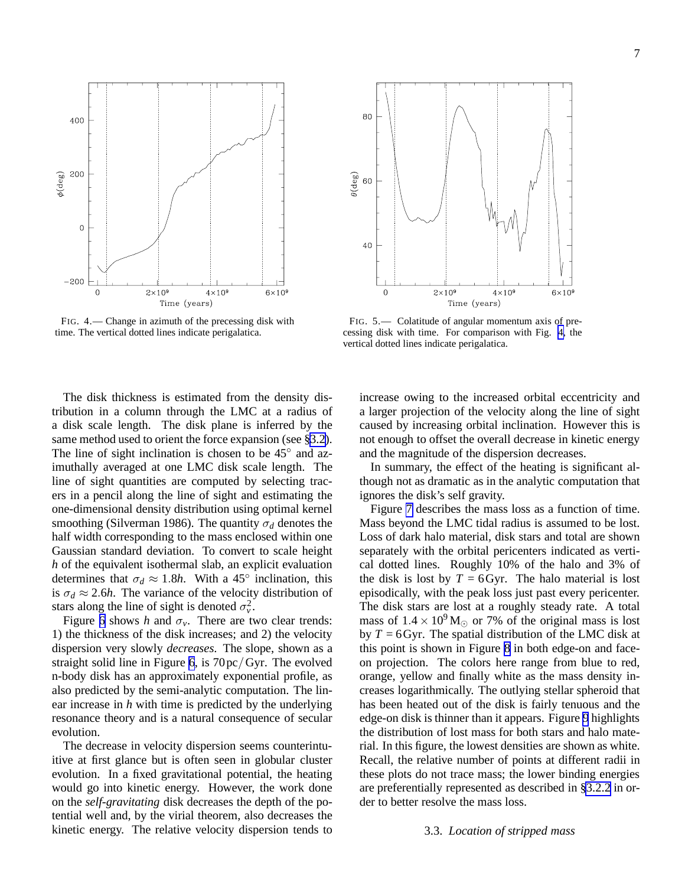<span id="page-7-0"></span>400 200  $\phi$ (deg)  $\mathbf 0$  $-200$  $\Omega$  $2 \times 10^9$  $4\times10^9$  $6 \times 10^9$ Time (years)

FIG. 4.— Change in azimuth of the precessing disk with time. The vertical dotted lines indicate perigalatica.

The disk thickness is estimated from the density distribution in a column through the LMC at a radius of a disk scale length. The disk plane is inferred by the same method used to orient the force expansion (see [§3.2\)](#page-3-0). The line of sight inclination is chosen to be  $45^\circ$  and azimuthally averaged at one LMC disk scale length. The line of sight quantities are computed by selecting tracers in a pencil along the line of sight and estimating the one-dimensional density distribution using optimal kernel smoothing (Silverman 1986). The quantity  $\sigma_d$  denotes the half width corresponding to the mass enclosed within one Gaussian standard deviation. To convert to scale height *h* of the equivalent isothermal slab, an explicit evaluation determines that  $\sigma_d \approx 1.8h$ . With a 45<sup>°</sup> inclination, this is  $\sigma_d \approx 2.6h$ . The variance of the velocity distribution of stars along the line of sight is denoted  $\sigma_v^2$ .

Figure [6](#page-8-0) shows *h* and  $\sigma_v$ . There are two clear trends: 1) the thickness of the disk increases; and 2) the velocity dispersion very slowly *decreases*. The slope, shown as a straight solid line in Figure [6](#page-8-0), is 70pc/Gyr. The evolved n-body disk has an approximately exponential profile, as also predicted by the semi-analytic computation. The linear increase in *h* with time is predicted by the underlying resonance theory and is a natural consequence of secular evolution.

The decrease in velocity dispersion seems counterintuitive at first glance but is often seen in globular cluster evolution. In a fixed gravitational potential, the heating would go into kinetic energy. However, the work done on the *self-gravitating* disk decreases the depth of the potential well and, by the virial theorem, also decreases the kinetic energy. The relative velocity dispersion tends to



FIG. 5.— Colatitude of angular momentum axis of precessing disk with time. For comparison with Fig. 4, the vertical dotted lines indicate perigalatica.

increase owing to the increased orbital eccentricity and a larger projection of the velocity along the line of sight caused by increasing orbital inclination. However this is not enough to offset the overall decrease in kinetic energy and the magnitude of the dispersion decreases.

In summary, the effect of the heating is significant although not as dramatic as in the analytic computation that ignores the disk's self gravity.

Figure [7](#page-8-0) describes the mass loss as a function of time. Mass beyond the LMC tidal radius is assumed to be lost. Loss of dark halo material, disk stars and total are shown separately with the orbital pericenters indicated as vertical dotted lines. Roughly 10% of the halo and 3% of the disk is lost by  $T = 6$  Gyr. The halo material is lost episodically, with the peak loss just past every pericenter. The disk stars are lost at a roughly steady rate. A total mass of  $1.4 \times 10^9$  M<sub>☉</sub> or 7% of the original mass is lost by  $T = 6$  Gyr. The spatial distribution of the LMC disk at this point is shown in Figure [8](#page-9-0) in both edge-on and faceon projection. The colors here range from blue to red, orange, yellow and finally white as the mass density increases logarithmically. The outlying stellar spheroid that has been heated out of the disk is fairly tenuous and the edge-on disk is thinner than it appears. Figure [9](#page-9-0) highlights the distribution of lost mass for both stars and halo material. In this figure, the lowest densities are shown as white. Recall, the relative number of points at different radii in these plots do not trace mass; the lower binding energies are preferentially represented as described in [§3.2.2](#page-5-0) in order to better resolve the mass loss.

#### 3.3. *Location of stripped mass*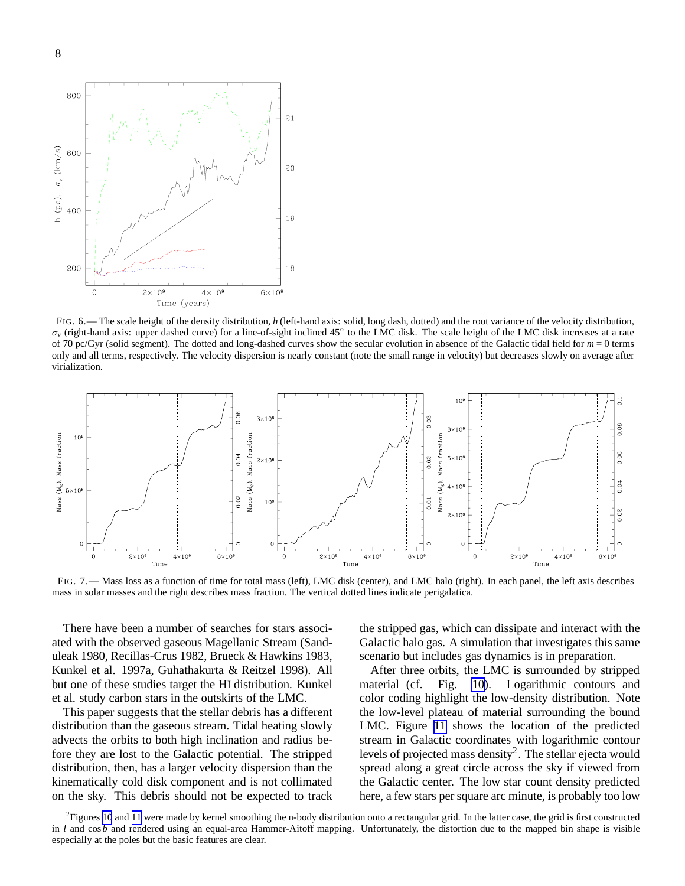<span id="page-8-0"></span>

FIG. 6.— The scale height of the density distribution, *h* (left-hand axis: solid, long dash, dotted) and the root variance of the velocity distribution,  $\sigma_v$  (right-hand axis: upper dashed curve) for a line-of-sight inclined 45° to the LMC disk. The scale height of the LMC disk increases at a rate of 70 pc/Gyr (solid segment). The dotted and long-dashed curves show the secular evolution in absence of the Galactic tidal field for  $m = 0$  terms only and all terms, respectively. The velocity dispersion is nearly constant (note the small range in velocity) but decreases slowly on average after virialization.



FIG. 7.— Mass loss as a function of time for total mass (left), LMC disk (center), and LMC halo (right). In each panel, the left axis describes mass in solar masses and the right describes mass fraction. The vertical dotted lines indicate perigalatica.

There have been a number of searches for stars associated with the observed gaseous Magellanic Stream (Sanduleak 1980, Recillas-Crus 1982, Brueck & Hawkins 1983, Kunkel et al. 1997a, Guhathakurta & Reitzel 1998). All but one of these studies target the HI distribution. Kunkel et al. study carbon stars in the outskirts of the LMC.

This paper suggests that the stellar debris has a different distribution than the gaseous stream. Tidal heating slowly advects the orbits to both high inclination and radius before they are lost to the Galactic potential. The stripped distribution, then, has a larger velocity dispersion than the kinematically cold disk component and is not collimated on the sky. This debris should not be expected to track the stripped gas, which can dissipate and interact with the Galactic halo gas. A simulation that investigates this same scenario but includes gas dynamics is in preparation.

After three orbits, the LMC is surrounded by stripped material (cf. Fig. [10](#page-10-0)). Logarithmic contours and color coding highlight the low-density distribution. Note the low-level plateau of material surrounding the bound LMC. Figure [11](#page-10-0) shows the location of the predicted stream in Galactic coordinates with logarithmic contour levels of projected mass density<sup>2</sup>. The stellar ejecta would spread along a great circle across the sky if viewed from the Galactic center. The low star count density predicted here, a few stars per square arc minute, is probably too low

 ${}^{2}$ Figures [10](#page-10-0) and [11](#page-10-0) were made by kernel smoothing the n-body distribution onto a rectangular grid. In the latter case, the grid is first constructed in *l* and cos*b* and rendered using an equal-area Hammer-Aitoff mapping. Unfortunately, the distortion due to the mapped bin shape is visible especially at the poles but the basic features are clear.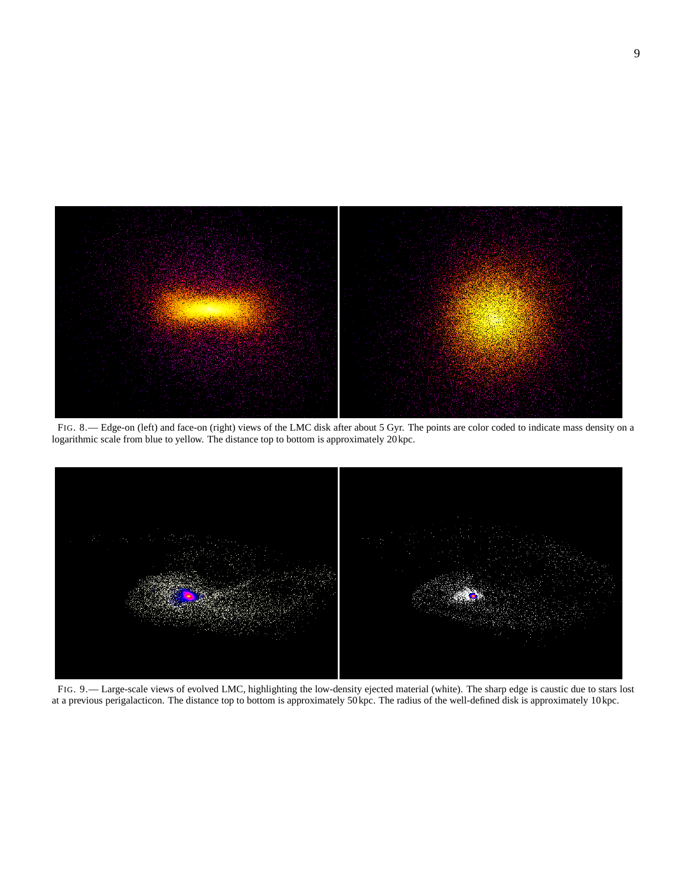<span id="page-9-0"></span>

FIG. 8.— Edge-on (left) and face-on (right) views of the LMC disk after about 5 Gyr. The points are color coded to indicate mass density on a logarithmic scale from blue to yellow. The distance top to bottom is approximately 20kpc.



FIG. 9.— Large-scale views of evolved LMC, highlighting the low-density ejected material (white). The sharp edge is caustic due to stars lost at a previous perigalacticon. The distance top to bottom is approximately 50kpc. The radius of the well-defined disk is approximately 10kpc.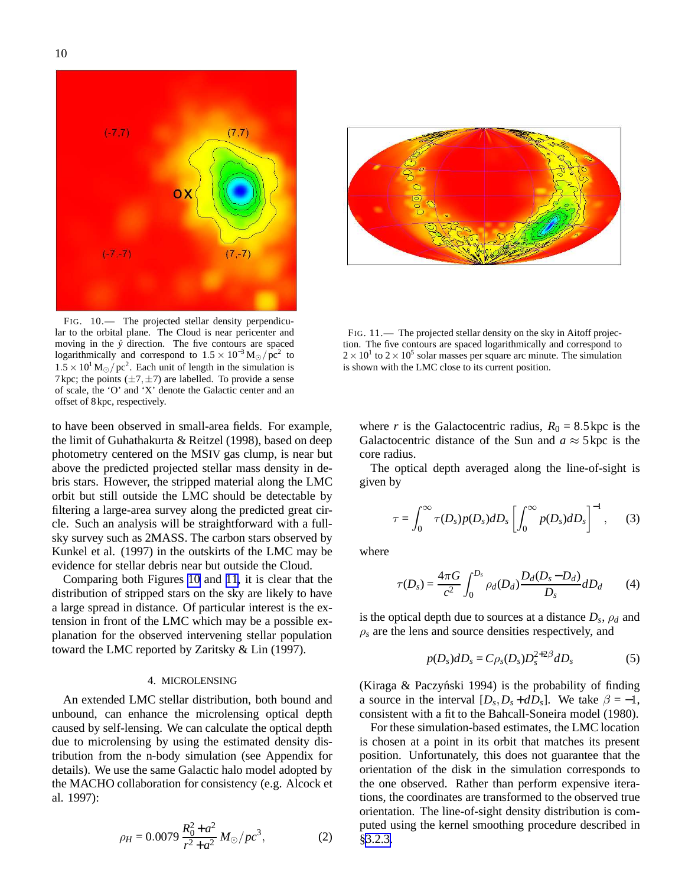moving in the  $\hat{y}$  direction. The five contours are spaced logarithmically and correspond to  $1.5 \times 10^{-3}$  M<sub>☉</sub>/pc<sup>2</sup> to  $1.5 \times 10^{1}$  M<sub>☉</sub>/pc<sup>2</sup>. Each unit of length in the simulation is 7 kpc; the points  $(\pm 7, \pm 7)$  are labelled. To provide a sense of scale, the 'O' and 'X' denote the Galactic center and an offset of 8kpc, respectively.

to have been observed in small-area fields. For example, the limit of Guhathakurta & Reitzel (1998), based on deep photometry centered on the MSIV gas clump, is near but above the predicted projected stellar mass density in debris stars. However, the stripped material along the LMC orbit but still outside the LMC should be detectable by filtering a large-area survey along the predicted great circle. Such an analysis will be straightforward with a fullsky survey such as 2MASS. The carbon stars observed by Kunkel et al. (1997) in the outskirts of the LMC may be evidence for stellar debris near but outside the Cloud.

Comparing both Figures 10 and 11, it is clear that the distribution of stripped stars on the sky are likely to have a large spread in distance. Of particular interest is the extension in front of the LMC which may be a possible explanation for the observed intervening stellar population toward the LMC reported by Zaritsky & Lin (1997).

#### 4. MICROLENSING

An extended LMC stellar distribution, both bound and unbound, can enhance the microlensing optical depth caused by self-lensing. We can calculate the optical depth due to microlensing by using the estimated density distribution from the n-body simulation (see Appendix for details). We use the same Galactic halo model adopted by the MACHO collaboration for consistency (e.g. Alcock et al. 1997):

$$
\rho_H = 0.0079 \frac{R_0^2 + a^2}{r^2 + a^2} M_{\odot}/pc^3, \tag{2}
$$

FIG. 11.— The projected stellar density on the sky in Aitoff projection. The five contours are spaced logarithmically and correspond to  $2 \times 10^{1}$  to  $2 \times 10^{5}$  solar masses per square arc minute. The simulation is shown with the LMC close to its current position.

where *r* is the Galactocentric radius,  $R_0 = 8.5$  kpc is the Galactocentric distance of the Sun and  $a \approx 5$  kpc is the core radius.

The optical depth averaged along the line-of-sight is given by

$$
\tau = \int_0^\infty \tau(D_s) p(D_s) dD_s \left[ \int_0^\infty p(D_s) dD_s \right]^{-1}, \quad (3)
$$

where

$$
\tau(D_s) = \frac{4\pi G}{c^2} \int_0^{D_s} \rho_d(D_d) \frac{D_d(D_s - D_d)}{D_s} dD_d \tag{4}
$$

is the optical depth due to sources at a distance  $D_s$ ,  $\rho_d$  and  $\rho_s$  are the lens and source densities respectively, and

$$
p(D_s)dD_s = C\rho_s(D_s)D_s^{2+2\beta}dD_s \tag{5}
$$

(Kiraga  $&$  Paczyński 1994) is the probability of finding a source in the interval  $[D_s, D_s + dD_s]$ . We take  $\beta = -1$ , consistent with a fit to the Bahcall-Soneira model (1980).

For these simulation-based estimates, the LMC location is chosen at a point in its orbit that matches its present position. Unfortunately, this does not guarantee that the orientation of the disk in the simulation corresponds to the one observed. Rather than perform expensive iterations, the coordinates are transformed to the observed true orientation. The line-of-sight density distribution is computed using the kernel smoothing procedure described in §[3.2.3.](#page-6-0)



<span id="page-10-0"></span>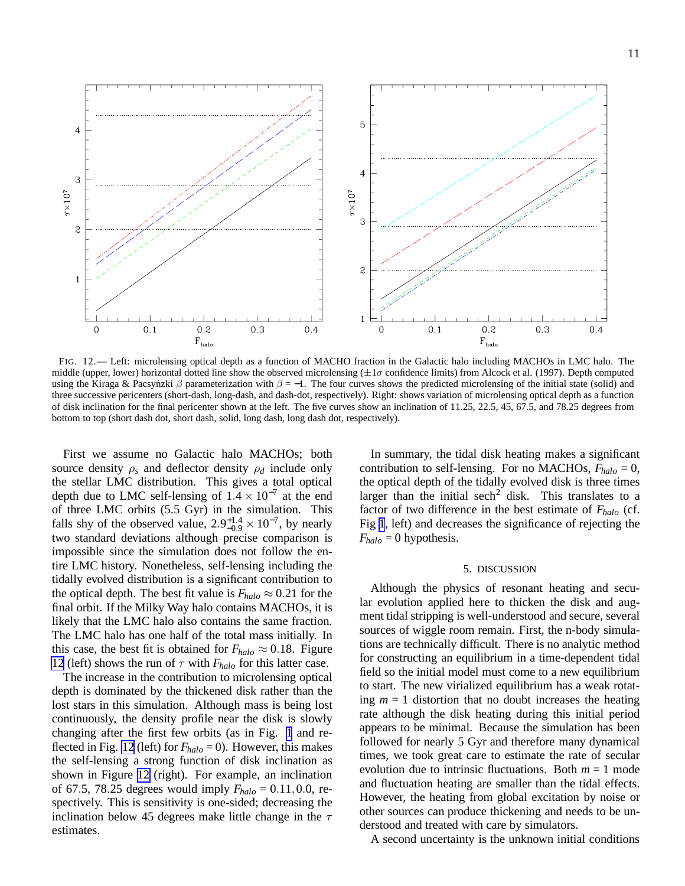<span id="page-11-0"></span>5  $\overline{4}$  $\overline{4}$ 3  $7\times10^7$  $\tau \times 10^7$ 3  $\overline{\mathbf{c}}$  $\overline{\mathbf{c}}$  $\,1\,$  $\mathbf{1}$  $0.4$  $0.1$  $0.2$  $0.3$  $0.1$  $0.2$  $0.3$  $0.4$  $\Omega$  $\Omega$  $F_{\text{halo}}$  $F_{halo}$ 

FIG. 12.— Left: microlensing optical depth as a function of MACHO fraction in the Galactic halo including MACHOs in LMC halo. The middle (upper, lower) horizontal dotted line show the observed microlensing  $(\pm 1\sigma$  confidence limits) from Alcock et al. (1997). Depth computed using the Kiraga & Pacsynzki  $\beta$  parameterization with  $\beta = -1$ . The four curves shows the predicted microlensing of the initial state (solid) and three successive pericenters (short-dash, long-dash, and dash-dot, respectively). Right: shows variation of microlensing optical depth as a function of disk inclination for the final pericenter shown at the left. The five curves show an inclination of 11.25, 22.5, 45, 67.5, and 78.25 degrees from bottom to top (short dash dot, short dash, solid, long dash, long dash dot, respectively).

First we assume no Galactic halo MACHOs; both source density  $\rho_s$  and deflector density  $\rho_d$  include only the stellar LMC distribution. This gives a total optical depth due to LMC self-lensing of  $1.4 \times 10^{-7}$  at the end of three LMC orbits (5.5 Gyr) in the simulation. This falls shy of the observed value,  $2.9^{+1.4}_{-0.9} \times 10^{-7}$ , by nearly two standard deviations although precise comparison is impossible since the simulation does not follow the entire LMC history. Nonetheless, self-lensing including the tidally evolved distribution is a significant contribution to the optical depth. The best fit value is  $F_{halo} \approx 0.21$  for the final orbit. If the Milky Way halo contains MACHOs, it is likely that the LMC halo also contains the same fraction. The LMC halo has one half of the total mass initially. In this case, the best fit is obtained for  $F_{halo} \approx 0.18$ . Figure 12 (left) shows the run of  $\tau$  with  $F_{halo}$  for this latter case.

The increase in the contribution to microlensing optical depth is dominated by the thickened disk rather than the lost stars in this simulation. Although mass is being lost continuously, the density profile near the disk is slowly changing after the first few orbits (as in Fig. [1](#page-4-0) and reflected in Fig. 12 (left) for *Fhalo* = 0). However, this makes the self-lensing a strong function of disk inclination as shown in Figure 12 (right). For example, an inclination of 67.5, 78.25 degrees would imply  $F_{halo} = 0.11, 0.0$ , respectively. This is sensitivity is one-sided; decreasing the inclination below 45 degrees make little change in the  $\tau$ estimates.

In summary, the tidal disk heating makes a significant contribution to self-lensing. For no MACHOs,  $F_{halo} = 0$ , the optical depth of the tidally evolved disk is three times larger than the initial sech<sup>2</sup> disk. This translates to a factor of two difference in the best estimate of *Fhalo* (cf. Fig [1](#page-4-0), left) and decreases the significance of rejecting the  $F_{halo} = 0$  hypothesis.

#### 5. DISCUSSION

Although the physics of resonant heating and secular evolution applied here to thicken the disk and augment tidal stripping is well-understood and secure, several sources of wiggle room remain. First, the n-body simulations are technically difficult. There is no analytic method for constructing an equilibrium in a time-dependent tidal field so the initial model must come to a new equilibrium to start. The new virialized equilibrium has a weak rotating  $m = 1$  distortion that no doubt increases the heating rate although the disk heating during this initial period appears to be minimal. Because the simulation has been followed for nearly 5 Gyr and therefore many dynamical times, we took great care to estimate the rate of secular evolution due to intrinsic fluctuations. Both  $m = 1$  mode and fluctuation heating are smaller than the tidal effects. However, the heating from global excitation by noise or other sources can produce thickening and needs to be understood and treated with care by simulators.

A second uncertainty is the unknown initial conditions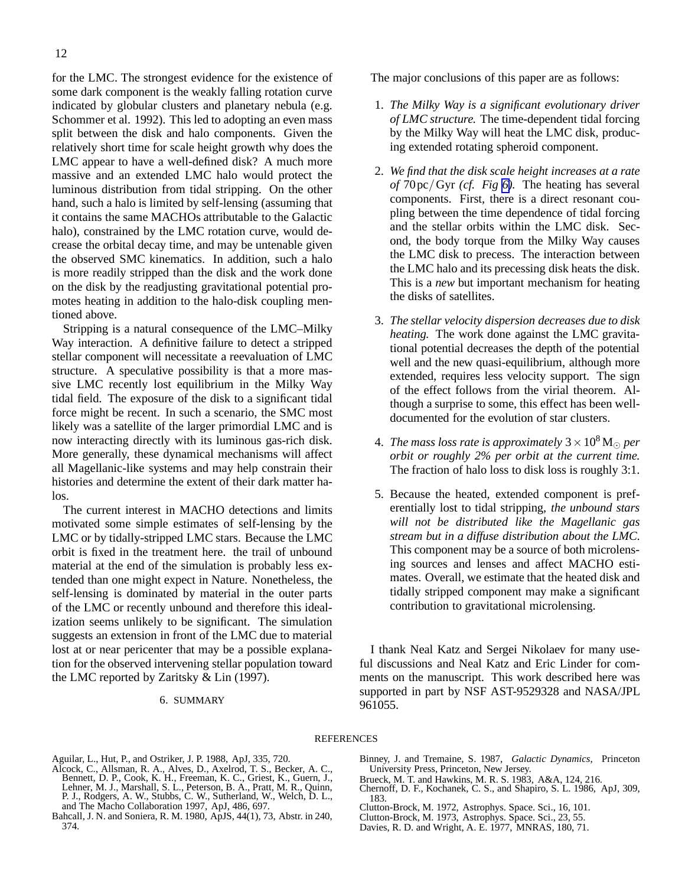<span id="page-12-0"></span>for the LMC. The strongest evidence for the existence of some dark component is the weakly falling rotation curve indicated by globular clusters and planetary nebula (e.g. Schommer et al. 1992). This led to adopting an even mass split between the disk and halo components. Given the relatively short time for scale height growth why does the LMC appear to have a well-defined disk? A much more massive and an extended LMC halo would protect the luminous distribution from tidal stripping. On the other hand, such a halo is limited by self-lensing (assuming that it contains the same MACHOs attributable to the Galactic halo), constrained by the LMC rotation curve, would decrease the orbital decay time, and may be untenable given the observed SMC kinematics. In addition, such a halo is more readily stripped than the disk and the work done on the disk by the readjusting gravitational potential promotes heating in addition to the halo-disk coupling mentioned above.

Stripping is a natural consequence of the LMC–Milky Way interaction. A definitive failure to detect a stripped stellar component will necessitate a reevaluation of LMC structure. A speculative possibility is that a more massive LMC recently lost equilibrium in the Milky Way tidal field. The exposure of the disk to a significant tidal force might be recent. In such a scenario, the SMC most likely was a satellite of the larger primordial LMC and is now interacting directly with its luminous gas-rich disk. More generally, these dynamical mechanisms will affect all Magellanic-like systems and may help constrain their histories and determine the extent of their dark matter halos.

The current interest in MACHO detections and limits motivated some simple estimates of self-lensing by the LMC or by tidally-stripped LMC stars. Because the LMC orbit is fixed in the treatment here. the trail of unbound material at the end of the simulation is probably less extended than one might expect in Nature. Nonetheless, the self-lensing is dominated by material in the outer parts of the LMC or recently unbound and therefore this idealization seems unlikely to be significant. The simulation suggests an extension in front of the LMC due to material lost at or near pericenter that may be a possible explanation for the observed intervening stellar population toward the LMC reported by Zaritsky & Lin (1997).

### 6. SUMMARY

The major conclusions of this paper are as follows:

- 1. *The Milky Way is a significant evolutionary driver of LMC structure.* The time-dependent tidal forcing by the Milky Way will heat the LMC disk, producing extended rotating spheroid component.
- 2. *We find that the disk scale height increases at a rate of* 70pc/Gyr *(cf. Fig [6\)](#page-8-0).* The heating has several components. First, there is a direct resonant coupling between the time dependence of tidal forcing and the stellar orbits within the LMC disk. Second, the body torque from the Milky Way causes the LMC disk to precess. The interaction between the LMC halo and its precessing disk heats the disk. This is a *new* but important mechanism for heating the disks of satellites.
- 3. *The stellar velocity dispersion decreases due to disk heating.* The work done against the LMC gravitational potential decreases the depth of the potential well and the new quasi-equilibrium, although more extended, requires less velocity support. The sign of the effect follows from the virial theorem. Although a surprise to some, this effect has been welldocumented for the evolution of star clusters.
- 4. *The mass loss rate is approximately*  $3 \times 10^8$  M<sub> $\odot$ </sub> *per orbit or roughly 2% per orbit at the current time.* The fraction of halo loss to disk loss is roughly 3:1.
- 5. Because the heated, extended component is preferentially lost to tidal stripping, *the unbound stars will not be distributed like the Magellanic gas stream but in a diffuse distribution about the LMC.* This component may be a source of both microlensing sources and lenses and affect MACHO estimates. Overall, we estimate that the heated disk and tidally stripped component may make a significant contribution to gravitational microlensing.

I thank Neal Katz and Sergei Nikolaev for many useful discussions and Neal Katz and Eric Linder for comments on the manuscript. This work described here was supported in part by NSF AST-9529328 and NASA/JPL 961055.

#### **REFERENCES**

Aguilar, L., Hut, P., and Ostriker, J. P. 1988, ApJ, 335, 720.

- Alcock, C., Allsman, R. A., Alves, D., Axelrod, T. S., Becker, A. C., Bennett, D. P., Cook, K. H., Freeman, K. C., Griest, K., Guern, J., Lehner, M. J., Marshall, S. L., Peterson, B. A., Pratt, M. R., Quinn, P. J., Rodgers, A. W., Stubbs, C. W., Sutherland, W., Welch, D. L., and The Macho Collaboration 1997, ApJ, 486, 697.
- Bahcall, J. N. and Soniera, R. M. 1980, ApJS, 44(1), 73, Abstr. in 240, 374.
- Binney, J. and Tremaine, S. 1987, *Galactic Dynamics*, Princeton University Press, Princeton, New Jersey.
- 
- Brueck, M. T. and Hawkins, M. R. S. 1983, A&A, 124, 216. Chernoff, D. F., Kochanek, C. S., and Shapiro, S. L. 1986, ApJ, 309, 183.
- Clutton-Brock, M. 1972, Astrophys. Space. Sci., 16, 101.
- Clutton-Brock, M. 1973, Astrophys. Space. Sci., 23, 55.
- Davies, R. D. and Wright, A. E. 1977, MNRAS, 180, 71.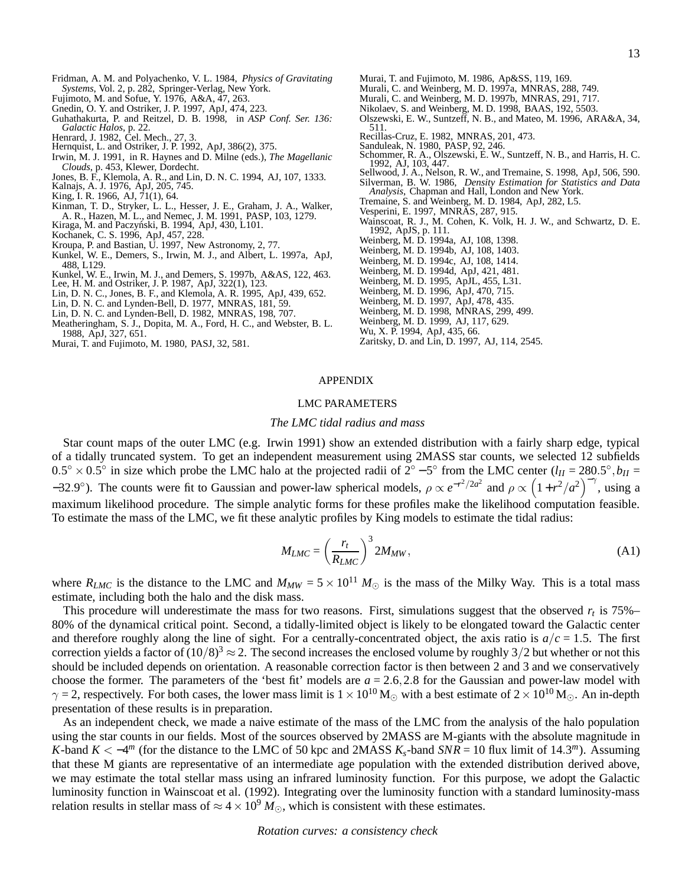- Fridman, A. M. and Polyachenko, V. L. 1984, *Physics of Gravitating Systems*, Vol. 2, p. 282, Springer-Verlag, New York.
- Fujimoto, M. and Sofue, Y. 1976, A&A, 47, 263.
- Gnedin, O. Y. and Ostriker, J. P. 1997, ApJ, 474, 223.
- Guhathakurta, P. and Reitzel, D. B. 1998, in *ASP Conf. Ser. 136: Galactic Halos*, p. 22.
- Henrard, J. 1982, Cel. Mech., 27, 3.
- Hernquist, L. and Ostriker, J. P. 1992, ApJ, 386(2), 375.
- Irwin, M. J. 1991, in R. Haynes and D. Milne (eds.), *The Magellanic Clouds*, p. 453, Klewer, Dordecht.
- Jones, B. F., Klemola, A. R., and Lin, D. N. C. 1994, AJ, 107, 1333. Kalnajs, A. J. 1976, ApJ, 205, 745.
- King, I. R. 1966, AJ, 71(1), 64.
- Kinman, T. D., Stryker, L. L., Hesser, J. E., Graham, J. A., Walker,
- A. R., Hazen, M. L., and Nemec, J. M. 1991, PASP, 103, 1279. Kiraga, M. and Paczynski, B. 1994, ApJ, 430, L101. ´
- Kochanek, C. S. 1996, ApJ, 457, 228.
- Kroupa, P. and Bastian, U. 1997, New Astronomy, 2, 77.
- Kunkel, W. E., Demers, S., Irwin, M. J., and Albert, L. 1997a, ApJ, 488, L129.
- Kunkel, W. E., Irwin, M. J., and Demers, S. 1997b, A&AS, 122, 463. Lee, H. M. and Ostriker, J. P. 1987, ApJ, 322(1), 123.
- 
- Lin, D. N. C., Jones, B. F., and Klemola, A. R. 1995, ApJ, 439, 652.
- Lin, D. N. C. and Lynden-Bell, D. 1977, MNRAS, 181, 59.
- Lin, D. N. C. and Lynden-Bell, D. 1982, MNRAS, 198, 707.
- Meatheringham, S. J., Dopita, M. A., Ford, H. C., and Webster, B. L. 1988, ApJ, 327, 651.
- Murai, T. and Fujimoto, M. 1980, PASJ, 32, 581.
- Murai, T. and Fujimoto, M. 1986, Ap&SS, 119, 169.
- Murali, C. and Weinberg, M. D. 1997a, MNRAS, 288, 749.
- Murali, C. and Weinberg, M. D. 1997b, MNRAS, 291, 717.
- Nikolaev, S. and Weinberg, M. D. 1998, BAAS, 192, 5503.
- Olszewski, E. W., Suntzeff, N. B., and Mateo, M. 1996, ARA&A, 34, 511.
- Recillas-Cruz, E. 1982, MNRAS, 201, 473.
- Sanduleak, N. 1980, PASP, 92, 246.
- Schommer, R. A., Olszewski, E. W., Suntzeff, N. B., and Harris, H. C. 1992, AJ, 103, 447.
- Sellwood, J. A., Nelson, R. W., and Tremaine, S. 1998, ApJ, 506, 590. Silverman, B. W. 1986, *Density Estimation for Statistics and Data Analysis*, Chapman and Hall, London and New York.
- Tremaine, S. and Weinberg, M. D. 1984, ApJ, 282, L5.
- Vesperini, E. 1997, MNRAS, 287, 915.
- Wainscoat, R. J., M. Cohen, K. Volk, H. J. W., and Schwartz, D. E. 1992, ApJS, p. 111.
- Weinberg, M. D. 1994a, AJ, 108, 1398.
- Weinberg, M. D. 1994b, AJ, 108, 1403.
- Weinberg, M. D. 1994c, AJ, 108, 1414.
- Weinberg, M. D. 1994d, ApJ, 421, 481.
- Weinberg, M. D. 1995, ApJL, 455, L31.
- Weinberg, M. D. 1996, ApJ, 470, 715.
- Weinberg, M. D. 1997, ApJ, 478, 435.
- Weinberg, M. D. 1998, MNRAS, 299, 499.
- Weinberg, M. D. 1999, AJ, 117, 629.
- Wu, X. P. 1994, ApJ, 435, 66.
- Zaritsky, D. and Lin, D. 1997, AJ, 114, 2545.

#### APPENDIX

#### LMC PARAMETERS

#### *The LMC tidal radius and mass*

Star count maps of the outer LMC (e.g. Irwin 1991) show an extended distribution with a fairly sharp edge, typical of a tidally truncated system. To get an independent measurement using 2MASS star counts, we selected 12 subfields  $0.5^\circ \times 0.5^\circ$  in size which probe the LMC halo at the projected radii of  $2^\circ - 5^\circ$  from the LMC center  $(l_H = 280.5^\circ, b_H =$  $-32.9^\circ$ ). The counts were fit to Gaussian and power-law spherical models,  $\rho \propto e^{-r^2/2a^2}$  and  $\rho \propto (1+r^2/a^2)^{-\gamma}$ , using a maximum likelihood procedure. The simple analytic forms for these profiles make the likelihood computation feasible. To estimate the mass of the LMC, we fit these analytic profiles by King models to estimate the tidal radius:

$$
M_{LMC} = \left(\frac{r_t}{R_{LMC}}\right)^3 2M_{MW},\tag{A1}
$$

where  $R_{LMC}$  is the distance to the LMC and  $M_{MW} = 5 \times 10^{11} M_{\odot}$  is the mass of the Milky Way. This is a total mass estimate, including both the halo and the disk mass.

This procedure will underestimate the mass for two reasons. First, simulations suggest that the observed  $r<sub>t</sub>$  is 75%– 80% of the dynamical critical point. Second, a tidally-limited object is likely to be elongated toward the Galactic center and therefore roughly along the line of sight. For a centrally-concentrated object, the axis ratio is  $a/c = 1.5$ . The first correction yields a factor of  $(10/8)^3 \approx 2$ . The second increases the enclosed volume by roughly 3/2 but whether or not this should be included depends on orientation. A reasonable correction factor is then between 2 and 3 and we conservatively choose the former. The parameters of the 'best fit' models are  $a = 2.6, 2.8$  for the Gaussian and power-law model with  $\gamma = 2$ , respectively. For both cases, the lower mass limit is  $1 \times 10^{10}$  M<sub>☉</sub> with a best estimate of  $2 \times 10^{10}$  M<sub>☉</sub>. An in-depth presentation of these results is in preparation.

As an independent check, we made a naive estimate of the mass of the LMC from the analysis of the halo population using the star counts in our fields. Most of the sources observed by 2MASS are M-giants with the absolute magnitude in *K*-band  $K < -4^m$  (for the distance to the LMC of 50 kpc and 2MASS  $K_s$ -band  $SNR = 10$  flux limit of 14.3<sup>*m*</sup>). Assuming that these M giants are representative of an intermediate age population with the extended distribution derived above, we may estimate the total stellar mass using an infrared luminosity function. For this purpose, we adopt the Galactic luminosity function in Wainscoat et al. (1992). Integrating over the luminosity function with a standard luminosity-mass relation results in stellar mass of  $\approx 4 \times 10^9$  *M*<sub>☉</sub>, which is consistent with these estimates.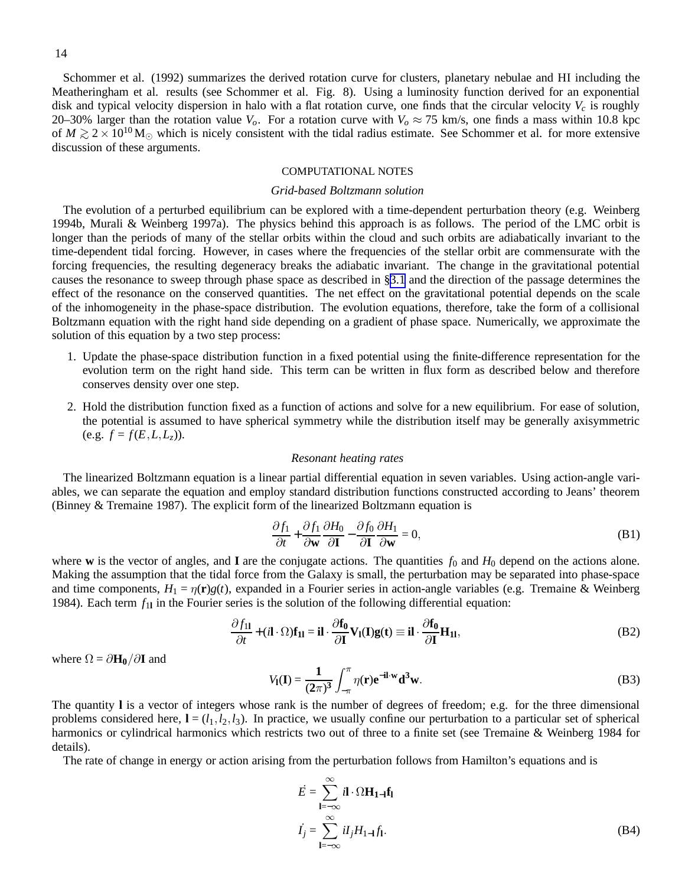<span id="page-14-0"></span>Schommer et al. (1992) summarizes the derived rotation curve for clusters, planetary nebulae and HI including the Meatheringham et al. results (see Schommer et al. Fig. 8). Using a luminosity function derived for an exponential disk and typical velocity dispersion in halo with a flat rotation curve, one finds that the circular velocity *V<sup>c</sup>* is roughly 20–30% larger than the rotation value  $V_o$ . For a rotation curve with  $V_o \approx 75$  km/s, one finds a mass within 10.8 kpc of  $M \gtrsim 2 \times 10^{10}$  M<sub>☉</sub> which is nicely consistent with the tidal radius estimate. See Schommer et al. for more extensive discussion of these arguments.

#### COMPUTATIONAL NOTES

#### *Grid-based Boltzmann solution*

The evolution of a perturbed equilibrium can be explored with a time-dependent perturbation theory (e.g. Weinberg 1994b, Murali & Weinberg 1997a). The physics behind this approach is as follows. The period of the LMC orbit is longer than the periods of many of the stellar orbits within the cloud and such orbits are adiabatically invariant to the time-dependent tidal forcing. However, in cases where the frequencies of the stellar orbit are commensurate with the forcing frequencies, the resulting degeneracy breaks the adiabatic invariant. The change in the gravitational potential causes the resonance to sweep through phase space as described in §[3.1](#page-3-0) and the direction of the passage determines the effect of the resonance on the conserved quantities. The net effect on the gravitational potential depends on the scale of the inhomogeneity in the phase-space distribution. The evolution equations, therefore, take the form of a collisional Boltzmann equation with the right hand side depending on a gradient of phase space. Numerically, we approximate the solution of this equation by a two step process:

- 1. Update the phase-space distribution function in a fixed potential using the finite-difference representation for the evolution term on the right hand side. This term can be written in flux form as described below and therefore conserves density over one step.
- 2. Hold the distribution function fixed as a function of actions and solve for a new equilibrium. For ease of solution, the potential is assumed to have spherical symmetry while the distribution itself may be generally axisymmetric (e.g.  $f = f(E, L, L_z)$ ).

#### *Resonant heating rates*

The linearized Boltzmann equation is a linear partial differential equation in seven variables. Using action-angle variables, we can separate the equation and employ standard distribution functions constructed according to Jeans' theorem (Binney & Tremaine 1987). The explicit form of the linearized Boltzmann equation is

$$
\frac{\partial f_1}{\partial t} + \frac{\partial f_1}{\partial \mathbf{w}} \frac{\partial H_0}{\partial \mathbf{I}} - \frac{\partial f_0}{\partial \mathbf{I}} \frac{\partial H_1}{\partial \mathbf{w}} = 0,
$$
 (B1)

where **w** is the vector of angles, and **I** are the conjugate actions. The quantities  $f_0$  and  $H_0$  depend on the actions alone. Making the assumption that the tidal force from the Galaxy is small, the perturbation may be separated into phase-space and time components,  $H_1 = \eta(\mathbf{r})g(t)$ , expanded in a Fourier series in action-angle variables (e.g. Tremaine & Weinberg 1984). Each term  $f_{11}$  in the Fourier series is the solution of the following differential equation:

$$
\frac{\partial f_{11}}{\partial t} + (i\mathbf{l} \cdot \Omega) \mathbf{f}_{11} = i\mathbf{l} \cdot \frac{\partial \mathbf{f}_0}{\partial \mathbf{l}} \mathbf{V}_1(\mathbf{l}) \mathbf{g}(\mathbf{t}) \equiv i\mathbf{l} \cdot \frac{\partial \mathbf{f}_0}{\partial \mathbf{l}} \mathbf{H}_{11},
$$
(B2)

where  $\Omega = \partial \mathbf{H}_0 / \partial \mathbf{I}$  and

$$
V_{\mathbf{I}}(\mathbf{I}) = \frac{1}{(2\pi)^3} \int_{-\pi}^{\pi} \eta(\mathbf{r}) e^{-i\mathbf{I} \cdot \mathbf{w}} \mathbf{d}^3 \mathbf{w}.
$$
 (B3)

The quantity **l** is a vector of integers whose rank is the number of degrees of freedom; e.g. for the three dimensional problems considered here,  $I = (l_1, l_2, l_3)$ . In practice, we usually confine our perturbation to a particular set of spherical harmonics or cylindrical harmonics which restricts two out of three to a finite set (see Tremaine & Weinberg 1984 for details).

The rate of change in energy or action arising from the perturbation follows from Hamilton's equations and is

$$
\dot{E} = \sum_{\mathbf{l} = -\infty}^{\infty} i\mathbf{l} \cdot \Omega \mathbf{H}_{\mathbf{l}-\mathbf{l}} \mathbf{f}_{\mathbf{l}}
$$

$$
\dot{I}_j = \sum_{\mathbf{l} = -\infty}^{\infty} iI_j H_{1-\mathbf{l}} \dot{f}_{\mathbf{l}}.
$$
(B4)